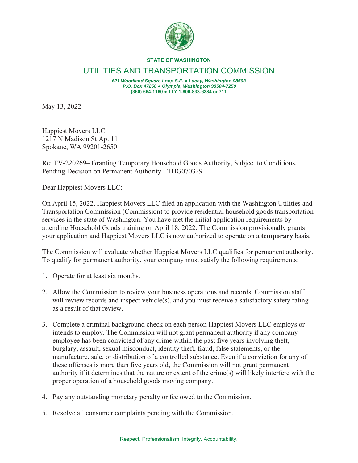

## **STATE OF WASHINGTON**

## UTILITIES AND TRANSPORTATION COMMISSION

*621 Woodland Square Loop S.E. Ɣ Lacey, Washington 98503 P.O. Box 47250 Ɣ Olympia, Washington 98504-7250*  **(360) 664-1160 ƔTTY 1-800-833-6384 or 711**

May 13, 2022

Happiest Movers LLC 1217 N Madison St Apt 11 Spokane, WA 99201-2650

Re: TV-220269– Granting Temporary Household Goods Authority, Subject to Conditions, Pending Decision on Permanent Authority - THG070329

Dear Happiest Movers LLC:

On April 15, 2022, Happiest Movers LLC filed an application with the Washington Utilities and Transportation Commission (Commission) to provide residential household goods transportation services in the state of Washington. You have met the initial application requirements by attending Household Goods training on April 18, 2022. The Commission provisionally grants your application and Happiest Movers LLC is now authorized to operate on a **temporary** basis.

The Commission will evaluate whether Happiest Movers LLC qualifies for permanent authority. To qualify for permanent authority, your company must satisfy the following requirements:

- 1. Operate for at least six months.
- 2. Allow the Commission to review your business operations and records. Commission staff will review records and inspect vehicle(s), and you must receive a satisfactory safety rating as a result of that review.
- 3. Complete a criminal background check on each person Happiest Movers LLC employs or intends to employ. The Commission will not grant permanent authority if any company employee has been convicted of any crime within the past five years involving theft, burglary, assault, sexual misconduct, identity theft, fraud, false statements, or the manufacture, sale, or distribution of a controlled substance. Even if a conviction for any of these offenses is more than five years old, the Commission will not grant permanent authority if it determines that the nature or extent of the crime(s) will likely interfere with the proper operation of a household goods moving company.
- 4. Pay any outstanding monetary penalty or fee owed to the Commission.
- 5. Resolve all consumer complaints pending with the Commission.